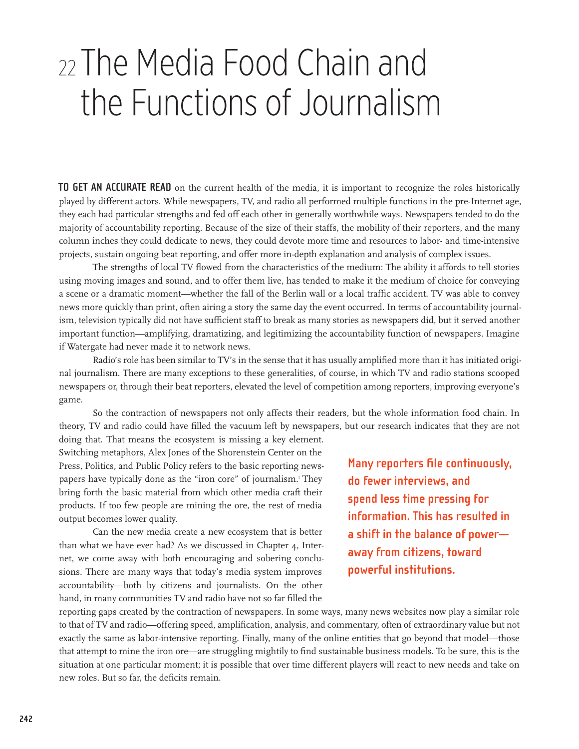# <sup>22</sup>The Media Food Chain and <sup>22</sup>The Media Food Chain and the Functions of Journalism the Functions of Journalism

**TO GET AN ACCURATE READ** on the current health of the media, it is important to recognize the roles historically played by different actors. While newspapers, TV, and radio all performed multiple functions in the pre-Internet age, they each had particular strengths and fed off each other in generally worthwhile ways. Newspapers tended to do the majority of accountability reporting. Because of the size of their staffs, the mobility of their reporters, and the many column inches they could dedicate to news, they could devote more time and resources to labor- and time-intensive projects, sustain ongoing beat reporting, and offer more in-depth explanation and analysis of complex issues.

The strengths of local TV flowed from the characteristics of the medium: The ability it affords to tell stories using moving images and sound, and to offer them live, has tended to make it the medium of choice for conveying a scene or a dramatic moment—whether the fall of the Berlin wall or a local traffic accident. TV was able to convey news more quickly than print, often airing a story the same day the event occurred. In terms of accountability journalism, television typically did not have sufficient staff to break as many stories as newspapers did, but it served another important function—amplifying, dramatizing, and legitimizing the accountability function of newspapers. Imagine if Watergate had never made it to network news.

Radio's role has been similar to TV's in the sense that it has usually amplified more than it has initiated original journalism. There are many exceptions to these generalities, of course, in which TV and radio stations scooped newspapers or, through their beat reporters, elevated the level of competition among reporters, improving everyone's game.

So the contraction of newspapers not only affects their readers, but the whole information food chain. In theory, TV and radio could have filled the vacuum left by newspapers, but our research indicates that they are not

doing that. That means the ecosystem is missing a key element. Switching metaphors, Alex Jones of the Shorenstein Center on the Press, Politics, and Public Policy refers to the basic reporting newspapers have typically done as the "iron core" of journalism.<sup>1</sup> They bring forth the basic material from which other media craft their products. If too few people are mining the ore, the rest of media output becomes lower quality.

Can the new media create a new ecosystem that is better than what we have ever had? As we discussed in Chapter 4, Internet, we come away with both encouraging and sobering conclusions. There are many ways that today's media system improves accountability—both by citizens and journalists. On the other hand, in many communities TV and radio have not so far filled the

**Many reporters file continuously, do fewer interviews, and spend less time pressing for information. This has resulted in a shift in the balance of power away from citizens, toward powerful institutions.**

reporting gaps created by the contraction of newspapers. In some ways, many news websites now play a similar role to that of TV and radio—offering speed, amplification, analysis, and commentary, often of extraordinary value but not exactly the same as labor-intensive reporting. Finally, many of the online entities that go beyond that model—those that attempt to mine the iron ore—are struggling mightily to find sustainable business models. To be sure, this is the situation at one particular moment; it is possible that over time different players will react to new needs and take on new roles. But so far, the deficits remain.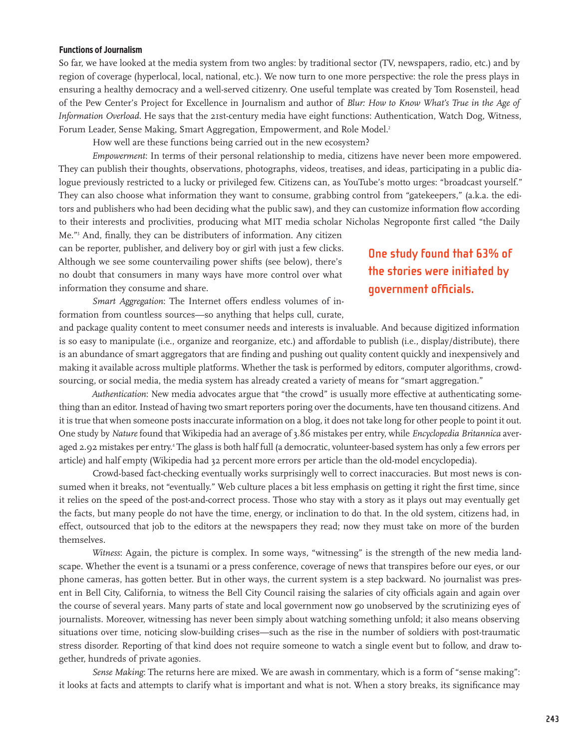#### **Functions of Journalism**

So far, we have looked at the media system from two angles: by traditional sector (TV, newspapers, radio, etc.) and by region of coverage (hyperlocal, local, national, etc.). We now turn to one more perspective: the role the press plays in ensuring a healthy democracy and a well-served citizenry. One useful template was created by Tom Rosensteil, head of the Pew Center's Project for Excellence in Journalism and author of *Blur: How to Know What's True in the Age of Information Overload.* He says that the 21st-century media have eight functions: Authentication, Watch Dog, Witness, Forum Leader, Sense Making, Smart Aggregation, Empowerment, and Role Model.<sup>2</sup>

How well are these functions being carried out in the new ecosystem?

*Empowerment*: In terms of their personal relationship to media, citizens have never been more empowered. They can publish their thoughts, observations, photographs, videos, treatises, and ideas, participating in a public dialogue previously restricted to a lucky or privileged few. Citizens can, as YouTube's motto urges: "broadcast yourself." They can also choose what information they want to consume, grabbing control from "gatekeepers," (a.k.a. the editors and publishers who had been deciding what the public saw), and they can customize information flow according to their interests and proclivities, producing what MIT media scholar Nicholas Negroponte first called "the Daily

Me."<sup>3</sup> And, finally, they can be distributers of information. Any citizen can be reporter, publisher, and delivery boy or girl with just a few clicks. Although we see some countervailing power shifts (see below), there's no doubt that consumers in many ways have more control over what information they consume and share.

## **One study found that 63% of the stories were initiated by government officials.**

*Smart Aggregation*: The Internet offers endless volumes of information from countless sources—so anything that helps cull, curate,

and package quality content to meet consumer needs and interests is invaluable. And because digitized information is so easy to manipulate (i.e., organize and reorganize, etc.) and affordable to publish (i.e., display/distribute), there is an abundance of smart aggregators that are finding and pushing out quality content quickly and inexpensively and making it available across multiple platforms. Whether the task is performed by editors, computer algorithms, crowdsourcing, or social media, the media system has already created a variety of means for "smart aggregation."

*Authentication*: New media advocates argue that "the crowd" is usually more effective at authenticating something than an editor. Instead of having two smart reporters poring over the documents, have ten thousand citizens. And it is true that when someone posts inaccurate information on a blog, it does not take long for other people to point it out. One study by *Nature* found that Wikipedia had an average of 3.86 mistakes per entry, while *Encyclopedia Britannica* averaged 2.92 mistakes per entry.<sup>4</sup> The glass is both half full (a democratic, volunteer-based system has only a few errors per article) and half empty (Wikipedia had 32 percent more errors per article than the old-model encyclopedia).

Crowd-based fact-checking eventually works surprisingly well to correct inaccuracies. But most news is consumed when it breaks, not "eventually." Web culture places a bit less emphasis on getting it right the first time, since it relies on the speed of the post-and-correct process. Those who stay with a story as it plays out may eventually get the facts, but many people do not have the time, energy, or inclination to do that. In the old system, citizens had, in effect, outsourced that job to the editors at the newspapers they read; now they must take on more of the burden themselves.

*Witness*: Again, the picture is complex. In some ways, "witnessing" is the strength of the new media landscape. Whether the event is a tsunami or a press conference, coverage of news that transpires before our eyes, or our phone cameras, has gotten better. But in other ways, the current system is a step backward. No journalist was present in Bell City, California, to witness the Bell City Council raising the salaries of city officials again and again over the course of several years. Many parts of state and local government now go unobserved by the scrutinizing eyes of journalists. Moreover, witnessing has never been simply about watching something unfold; it also means observing situations over time, noticing slow-building crises—such as the rise in the number of soldiers with post-traumatic stress disorder. Reporting of that kind does not require someone to watch a single event but to follow, and draw together, hundreds of private agonies.

*Sense Making*: The returns here are mixed. We are awash in commentary, which is a form of "sense making": it looks at facts and attempts to clarify what is important and what is not. When a story breaks, its significance may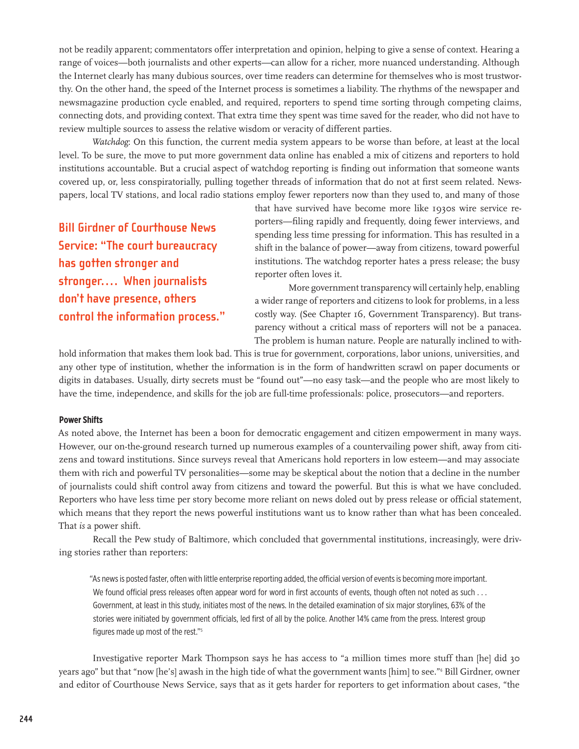not be readily apparent; commentators offer interpretation and opinion, helping to give a sense of context. Hearing a range of voices—both journalists and other experts—can allow for a richer, more nuanced understanding. Although the Internet clearly has many dubious sources, over time readers can determine for themselves who is most trustworthy. On the other hand, the speed of the Internet process is sometimes a liability. The rhythms of the newspaper and newsmagazine production cycle enabled, and required, reporters to spend time sorting through competing claims, connecting dots, and providing context. That extra time they spent was time saved for the reader, who did not have to review multiple sources to assess the relative wisdom or veracity of different parties.

*Watchdog*: On this function, the current media system appears to be worse than before, at least at the local level. To be sure, the move to put more government data online has enabled a mix of citizens and reporters to hold institutions accountable. But a crucial aspect of watchdog reporting is finding out information that someone wants covered up, or, less conspiratorially, pulling together threads of information that do not at first seem related. Newspapers, local TV stations, and local radio stations employ fewer reporters now than they used to, and many of those

**Bill Girdner of Courthouse News Service: "The court bureaucracy has gotten stronger and stronger.... When journalists don't have presence, others control the information process."** that have survived have become more like 1930s wire service reporters—filing rapidly and frequently, doing fewer interviews, and spending less time pressing for information. This has resulted in a shift in the balance of power—away from citizens, toward powerful institutions. The watchdog reporter hates a press release; the busy reporter often loves it.

More government transparency will certainly help, enabling a wider range of reporters and citizens to look for problems, in a less costly way. (See Chapter 16, Government Transparency). But transparency without a critical mass of reporters will not be a panacea. The problem is human nature. People are naturally inclined to with-

hold information that makes them look bad. This is true for government, corporations, labor unions, universities, and any other type of institution, whether the information is in the form of handwritten scrawl on paper documents or digits in databases. Usually, dirty secrets must be "found out"—no easy task—and the people who are most likely to have the time, independence, and skills for the job are full-time professionals: police, prosecutors—and reporters.

## **Power Shifts**

As noted above, the Internet has been a boon for democratic engagement and citizen empowerment in many ways. However, our on-the-ground research turned up numerous examples of a countervailing power shift, away from citizens and toward institutions. Since surveys reveal that Americans hold reporters in low esteem—and may associate them with rich and powerful TV personalities—some may be skeptical about the notion that a decline in the number of journalists could shift control away from citizens and toward the powerful. But this is what we have concluded. Reporters who have less time per story become more reliant on news doled out by press release or official statement, which means that they report the news powerful institutions want us to know rather than what has been concealed. That *is* a power shift.

Recall the Pew study of Baltimore, which concluded that governmental institutions, increasingly, were driving stories rather than reporters:

"As news is posted faster, often with little enterprise reporting added, the official version of events is becoming more important. We found official press releases often appear word for word in first accounts of events, though often not noted as such . . . Government, at least in this study, initiates most of the news. In the detailed examination of six major storylines, 63% of the stories were initiated by government officials, led first of all by the police. Another 14% came from the press. Interest group figures made up most of the rest."5

Investigative reporter Mark Thompson says he has access to "a million times more stuff than [he] did 30 years ago" but that "now [he's] awash in the high tide of what the government wants [him] to see."<sup>6</sup> Bill Girdner, owner and editor of Courthouse News Service, says that as it gets harder for reporters to get information about cases, "the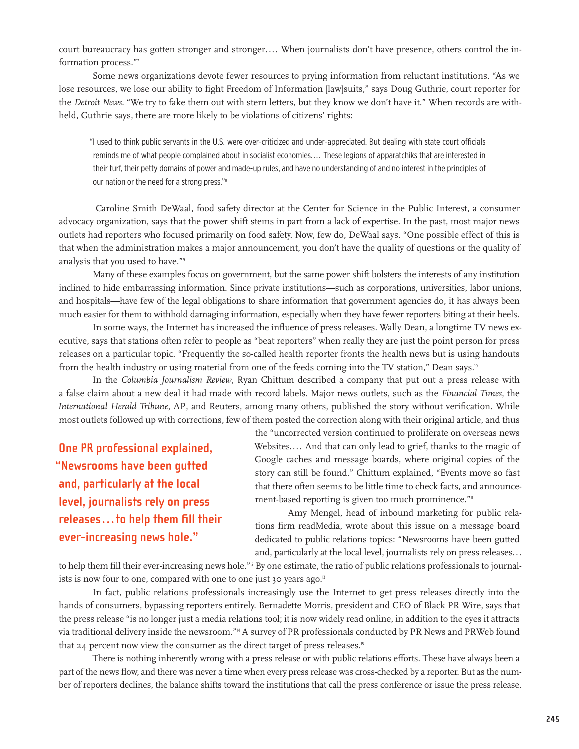court bureaucracy has gotten stronger and stronger.... When journalists don't have presence, others control the information process."<sup>7</sup>

Some news organizations devote fewer resources to prying information from reluctant institutions. "As we lose resources, we lose our ability to fight Freedom of Information [law]suits," says Doug Guthrie, court reporter for the *Detroit News.* "We try to fake them out with stern letters, but they know we don't have it." When records are withheld, Guthrie says, there are more likely to be violations of citizens' rights:

"I used to think public servants in the U.S. were over-criticized and under-appreciated. But dealing with state court officials reminds me of what people complained about in socialist economies.... These legions of apparatchiks that are interested in their turf, their petty domains of power and made-up rules, and have no understanding of and no interest in the principles of our nation or the need for a strong press."8

 Caroline Smith DeWaal, food safety director at the Center for Science in the Public Interest, a consumer advocacy organization, says that the power shift stems in part from a lack of expertise. In the past, most major news outlets had reporters who focused primarily on food safety. Now, few do, DeWaal says. "One possible effect of this is that when the administration makes a major announcement, you don't have the quality of questions or the quality of analysis that you used to have."<sup>9</sup>

Many of these examples focus on government, but the same power shift bolsters the interests of any institution inclined to hide embarrassing information. Since private institutions—such as corporations, universities, labor unions, and hospitals—have few of the legal obligations to share information that government agencies do, it has always been much easier for them to withhold damaging information, especially when they have fewer reporters biting at their heels.

In some ways, the Internet has increased the influence of press releases. Wally Dean, a longtime TV news executive, says that stations often refer to people as "beat reporters" when really they are just the point person for press releases on a particular topic. "Frequently the so-called health reporter fronts the health news but is using handouts from the health industry or using material from one of the feeds coming into the TV station," Dean says.<sup>10</sup>

In the *Columbia Journalism Review*, Ryan Chittum described a company that put out a press release with a false claim about a new deal it had made with record labels. Major news outlets, such as the *Financial Times*, the *International Herald Tribune*, AP, and Reuters, among many others, published the story without verification. While most outlets followed up with corrections, few of them posted the correction along with their original article, and thus

**One PR professional explained, "Newsrooms have been gutted and, particularly at the local level, journalists rely on press releases...to help them fill their ever-increasing news hole."**

the "uncorrected version continued to proliferate on overseas news Websites.... And that can only lead to grief, thanks to the magic of Google caches and message boards, where original copies of the story can still be found." Chittum explained, "Events move so fast that there often seems to be little time to check facts, and announcement-based reporting is given too much prominence."<sup>11</sup>

Amy Mengel, head of inbound marketing for public relations firm readMedia, wrote about this issue on a message board dedicated to public relations topics: "Newsrooms have been gutted and, particularly at the local level, journalists rely on press releases...

to help them fill their ever-increasing news hole."<sup>12</sup> By one estimate, the ratio of public relations professionals to journalists is now four to one, compared with one to one just 30 years ago.<sup>13</sup>

In fact, public relations professionals increasingly use the Internet to get press releases directly into the hands of consumers, bypassing reporters entirely. Bernadette Morris, president and CEO of Black PR Wire, says that the press release "is no longer just a media relations tool; it is now widely read online, in addition to the eyes it attracts via traditional delivery inside the newsroom."14 A survey of PR professionals conducted by PR News and PRWeb found that 24 percent now view the consumer as the direct target of press releases.<sup>5</sup>

There is nothing inherently wrong with a press release or with public relations efforts. These have always been a part of the news flow, and there was never a time when every press release was cross-checked by a reporter. But as the number of reporters declines, the balance shifts toward the institutions that call the press conference or issue the press release.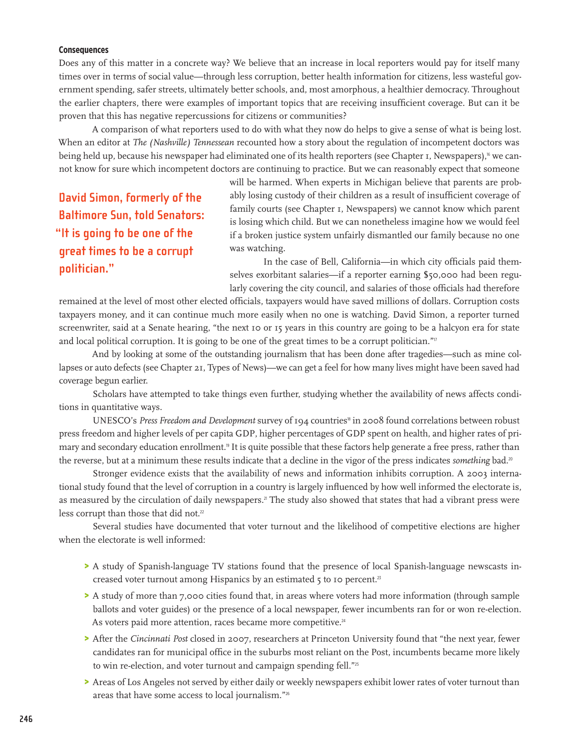### **Consequences**

Does any of this matter in a concrete way? We believe that an increase in local reporters would pay for itself many times over in terms of social value—through less corruption, better health information for citizens, less wasteful government spending, safer streets, ultimately better schools, and, most amorphous, a healthier democracy. Throughout the earlier chapters, there were examples of important topics that are receiving insufficient coverage. But can it be proven that this has negative repercussions for citizens or communities?

A comparison of what reporters used to do with what they now do helps to give a sense of what is being lost. When an editor at *The (Nashville) Tennessean* recounted how a story about the regulation of incompetent doctors was being held up, because his newspaper had eliminated one of its health reporters (see Chapter 1, Newspapers),<sup>6</sup> we cannot know for sure which incompetent doctors are continuing to practice. But we can reasonably expect that someone

**David Simon, formerly of the Baltimore Sun, told Senators: "It is going to be one of the great times to be a corrupt politician."**

will be harmed. When experts in Michigan believe that parents are probably losing custody of their children as a result of insufficient coverage of family courts (see Chapter 1, Newspapers) we cannot know which parent is losing which child. But we can nonetheless imagine how we would feel if a broken justice system unfairly dismantled our family because no one was watching.

In the case of Bell, California—in which city officials paid themselves exorbitant salaries—if a reporter earning \$50,000 had been regularly covering the city council, and salaries of those officials had therefore

remained at the level of most other elected officials, taxpayers would have saved millions of dollars. Corruption costs taxpayers money, and it can continue much more easily when no one is watching. David Simon, a reporter turned screenwriter, said at a Senate hearing, "the next 10 or 15 years in this country are going to be a halcyon era for state and local political corruption. It is going to be one of the great times to be a corrupt politician."<sup>17</sup>

And by looking at some of the outstanding journalism that has been done after tragedies—such as mine collapses or auto defects (see Chapter 21, Types of News)—we can get a feel for how many lives might have been saved had coverage begun earlier.

Scholars have attempted to take things even further, studying whether the availability of news affects conditions in quantitative ways.

UNESCO's Press Freedom and Development survey of 194 countries<sup>18</sup> in 2008 found correlations between robust press freedom and higher levels of per capita GDP, higher percentages of GDP spent on health, and higher rates of primary and secondary education enrollment.<sup>19</sup> It is quite possible that these factors help generate a free press, rather than the reverse, but at a minimum these results indicate that a decline in the vigor of the press indicates *something* bad.<sup>20</sup>

Stronger evidence exists that the availability of news and information inhibits corruption. A 2003 international study found that the level of corruption in a country is largely influenced by how well informed the electorate is, as measured by the circulation of daily newspapers.<sup>2</sup> The study also showed that states that had a vibrant press were less corrupt than those that did not.<sup>22</sup>

Several studies have documented that voter turnout and the likelihood of competitive elections are higher when the electorate is well informed:

- > A study of Spanish-language TV stations found that the presence of local Spanish-language newscasts increased voter turnout among Hispanics by an estimated 5 to 10 percent.<sup>23</sup>
- > A study of more than 7,000 cities found that, in areas where voters had more information (through sample ballots and voter guides) or the presence of a local newspaper, fewer incumbents ran for or won re-election. As voters paid more attention, races became more competitive.<sup>24</sup>
- > After the *Cincinnati Post* closed in 2007, researchers at Princeton University found that "the next year, fewer candidates ran for municipal office in the suburbs most reliant on the Post, incumbents became more likely to win re-election, and voter turnout and campaign spending fell."<sup>25</sup>
- > Areas of Los Angeles not served by either daily or weekly newspapers exhibit lower rates of voter turnout than areas that have some access to local journalism."<sup>26</sup>